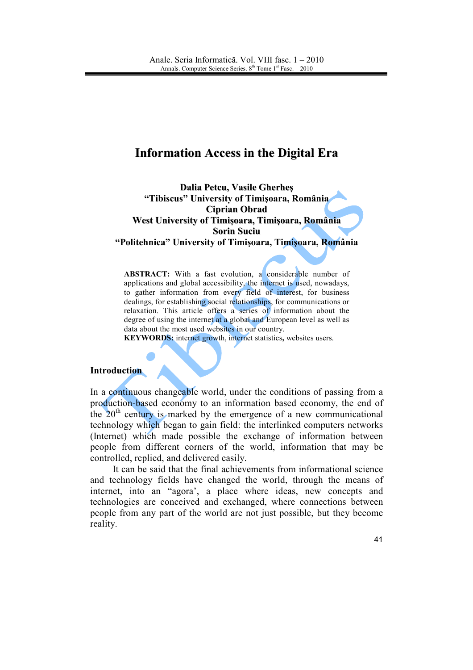# **Information Access in the Digital Era**

**Dalia Petcu, Vasile Gherheş "Tibiscus" University of Timişoara, România Ciprian Obrad West University of Timişoara, Timişoara, România Sorin Suciu "Politehnica" University of Timişoara, Timişoara, România**

ABSTRACT: With a fast evolution, a considerable number of applications and global accessibility, the internet is used, nowadays, to gather information from every field of interest, for business dealings, for establishing social relationships, for communications or relaxation. This article offers a series of information about the degree of using the internet at a global and European level as well as data about the most used websites in our country.

**KEYWORDS:** internet growth, internet statistics**,** websites users.

#### **Introduction**

In a continuous changeable world, under the conditions of passing from a production-based economy to an information based economy, the end of the  $20<sup>th</sup>$  century is marked by the emergence of a new communicational technology which began to gain field: the interlinked computers networks (Internet) which made possible the exchange of information between people from different corners of the world, information that may be controlled, replied, and delivered easily.

It can be said that the final achievements from informational science and technology fields have changed the world, through the means of internet, into an "agora', a place where ideas, new concepts and technologies are conceived and exchanged, where connections between people from any part of the world are not just possible, but they become reality.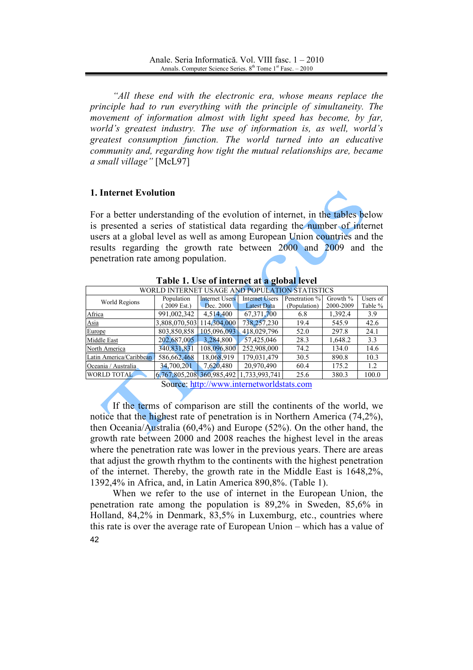*"All these end with the electronic era, whose means replace the principle had to run everything with the principle of simultaneity. The movement of information almost with light speed has become, by far, world's greatest industry. The use of information is, as well, world's greatest consumption function. The world turned into an educative community and, regarding how tight the mutual relationships are, became a small village"* [McL97]

## **1. Internet Evolution**

For a better understanding of the evolution of internet, in the tables below is presented a series of statistical data regarding the number of internet users at a global level as well as among European Union countries and the results regarding the growth rate between 2000 and 2009 and the penetration rate among population.

| WORLD INTERNET USAGE AND POPULATION STATISTICS |                           |                       |                       |               |             |          |  |
|------------------------------------------------|---------------------------|-----------------------|-----------------------|---------------|-------------|----------|--|
| World Regions                                  | Population                | <b>Internet Users</b> | <b>Internet Users</b> | Penetration % | Growth $\%$ | Users of |  |
|                                                | 2009 Est.)                | Dec. 2000             | Latest Data           | (Population)  | 2000-2009   | Table %  |  |
| Africa                                         | 991,002,342               | 4,514,400             | 67, 371, 700          | 6.8           | 1,392.4     | 3.9      |  |
| Asia                                           | 3,808,070,503             | 114,304,000           | 738,257,230           | 19.4          | 545.9       | 42.6     |  |
| Europe                                         | 803,850,858               | 105,096,093           | 418,029,796           | 52.0          | 297.8       | 24.1     |  |
| Middle East                                    | 202,687,005               | 3,284,800             | 57,425,046            | 28.3          | 1,648.2     | 3.3      |  |
| North America                                  | 340,831,831               | 108,096,800           | 252,908,000           | 74.2          | 134.0       | 14.6     |  |
| Latin America/Caribbean                        | 586,662,468               | 18,068,919            | 179,031,479           | 30.5          | 890.8       | 10.3     |  |
| Oceania / Australia                            | 34,700,201                | 7.620.480             | 20,970,490            | 60.4          | 175.2       | 1.2      |  |
| <b>WORLD TOTAL</b>                             | 6,767,805,208 360,985,492 |                       | 1,733,993,741         | 25.6          | 380.3       | 100.0    |  |

**Table 1. Use of internet at a global level** 

Source: [http://www.internetworldstats.com](http://www.internetworldstats.com/)

If the terms of comparison are still the continents of the world, we notice that the highest rate of penetration is in Northern America (74,2%), then Oceania/Australia (60,4%) and Europe (52%). On the other hand, the growth rate between 2000 and 2008 reaches the highest level in the areas where the penetration rate was lower in the previous years. There are areas that adjust the growth rhythm to the continents with the highest penetration of the internet. Thereby, the growth rate in the Middle East is 1648,2%, 1392,4% in Africa, and, in Latin America 890,8%. (Table 1).

42 When we refer to the use of internet in the European Union, the penetration rate among the population is 89,2% in Sweden, 85,6% in Holland, 84,2% in Denmark, 83,5% in Luxemburg, etc., countries where this rate is over the average rate of European Union – which has a value of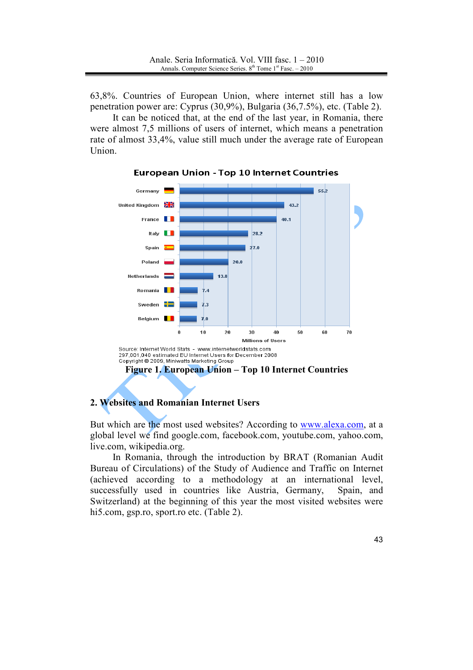63,8%. Countries of European Union, where internet still has a low penetration power are: Cyprus (30,9%), Bulgaria (36,7.5%), etc. (Table 2).

It can be noticed that, at the end of the last year, in Romania, there were almost 7,5 millions of users of internet, which means a penetration rate of almost 33,4%, value still much under the average rate of European Union.



**European Union - Top 10 Internet Countries** 

### **2. Websites and Romanian Internet Users**

But which are the most used websites? According to [www.alexa.com](http://www.alexa.com/), at a global level we find google.com, facebook.com, youtube.com, yahoo.com, live.com, wikipedia.org.

In Romania, through the introduction by BRAT (Romanian Audit Bureau of Circulations) of the Study of Audience and Traffic on Internet (achieved according to a methodology at an international level, successfully used in countries like Austria, Germany, Spain, and Switzerland) at the beginning of this year the most visited websites were hi5.com, gsp.ro, sport.ro etc. (Table 2).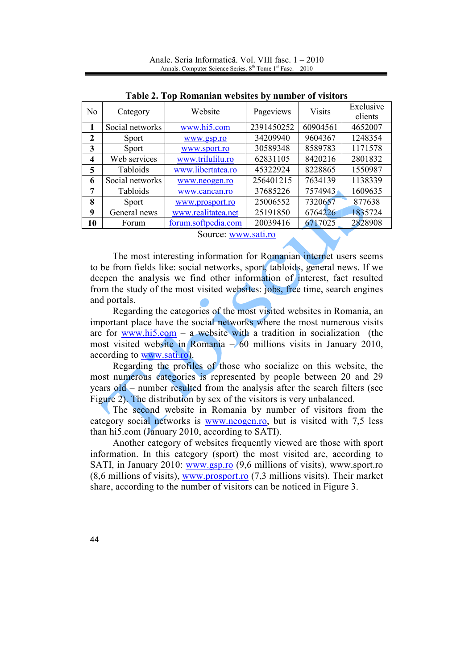|                                          | Table 2. Tup Kumaman websites by humber of visiturs |                     |            |               |                      |  |  |  |
|------------------------------------------|-----------------------------------------------------|---------------------|------------|---------------|----------------------|--|--|--|
| N <sub>0</sub>                           | Category                                            | Website             | Pageviews  | <b>Visits</b> | Exclusive<br>clients |  |  |  |
| 1                                        | Social networks                                     | www.hi5.com         | 2391450252 | 60904561      | 4652007              |  |  |  |
| $\overline{2}$                           | <b>Sport</b>                                        | www.gsp.ro          | 34209940   | 9604367       | 1248354              |  |  |  |
| 3                                        | <b>Sport</b>                                        | www.sport.ro        | 30589348   | 8589783       | 1171578              |  |  |  |
| 4                                        | Web services                                        | www.trilulilu.ro    | 62831105   | 8420216       | 2801832              |  |  |  |
| 5                                        | Tabloids                                            | www.libertatea.ro   | 45322924   | 8228865       | 1550987              |  |  |  |
| 6                                        | Social networks                                     | www.neogen.ro       | 256401215  | 7634139       | 1138339              |  |  |  |
| 7                                        | Tabloids                                            | www.cancan.ro       | 37685226   | 7574943       | 1609635              |  |  |  |
| 8                                        | <b>Sport</b>                                        | www.prosport.ro     | 25006552   | 7320657       | 877638               |  |  |  |
| 9                                        | General news                                        | www.realitatea.net  | 25191850   | 6764226       | 1835724              |  |  |  |
| 10                                       | Forum                                               | forum.softpedia.com | 20039416   | 6717025       | 2828908              |  |  |  |
| $\mathcal{L}_{\text{OUPOO}}$ www.coti ro |                                                     |                     |            |               |                      |  |  |  |

**Table 2. Top Romanian websites by number of visitors** 

Source: [www.sati.ro](http://www.sati.ro/)

The most interesting information for Romanian internet users seems to be from fields like: social networks, sport, tabloids, general news. If we deepen the analysis we find other information of interest, fact resulted from the study of the most visited websites: jobs, free time, search engines and portals.

Regarding the categories of the most visited websites in Romania, an important place have the social networks where the most numerous visits are for [www.hi5.com](http://www.hi5.com/) – a website with a tradition in socialization (the most visited website in Romania  $-\sqrt{60}$  millions visits in January 2010, according to [www.sati.ro](http://www.sati.ro/)).

Regarding the profiles of those who socialize on this website, the most numerous categories is represented by people between 20 and 29 years old – number resulted from the analysis after the search filters (see Figure 2). The distribution by sex of the visitors is very unbalanced.

The second website in Romania by number of visitors from the category social networks is [www.neogen.ro](http://www.neogen.ro/), but is visited with 7,5 less than hi5.com (January 2010, according to SATI).

Another category of websites frequently viewed are those with sport information. In this category (sport) the most visited are, according to SATI, in January 2010: [www.gsp.ro](http://www.gsp.ro/) (9,6 millions of visits), www.sport.ro (8,6 millions of visits), [www.prosport.ro](http://www.prosport.ro/) (7,3 millions visits). Their market share, according to the number of visitors can be noticed in Figure 3.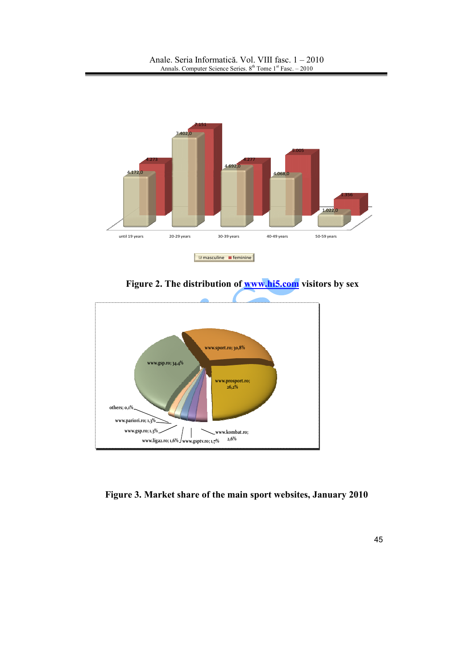

**Figure 2. The distribution of [www.hi5.com](http://www.hi5.com/) visitors by sex** 



**Figure 3. Market share of the main sport websites, January 2010**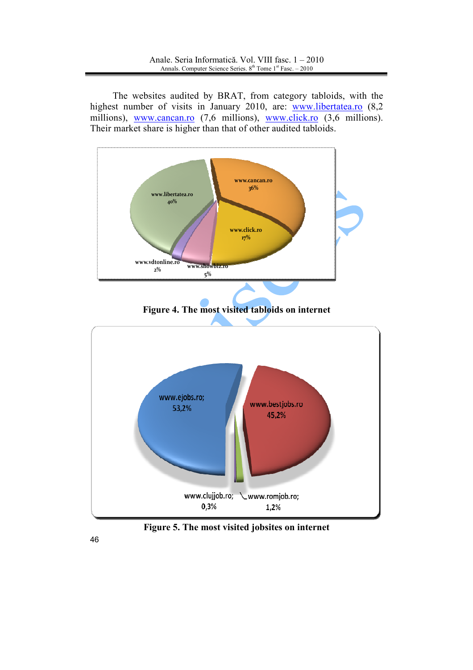The websites audited by BRAT, from category tabloids, with the highest number of visits in January 2010, are: [www.libertatea.ro](http://www.libertatea.ro/) (8,2) millions), [www.cancan.ro](http://www.cancan.ro/) (7,6 millions), [www.click.ro](http://www.click.ro/) (3,6 millions). Their market share is higher than that of other audited tabloids.



**Figure 5. The most visited jobsites on internet**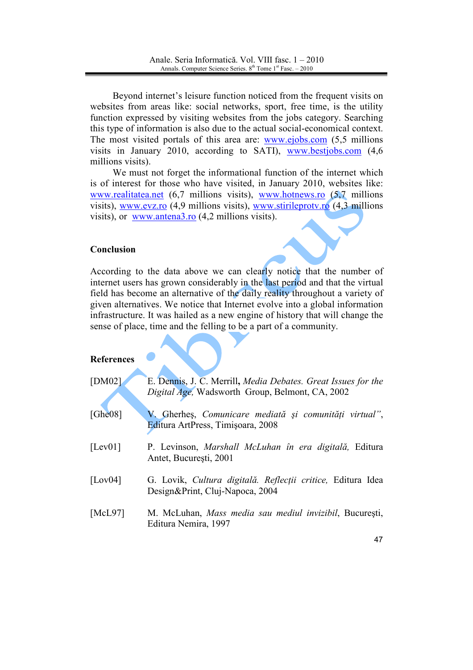Beyond internet's leisure function noticed from the frequent visits on websites from areas like: social networks, sport, free time, is the utility function expressed by visiting websites from the jobs category. Searching this type of information is also due to the actual social-economical context. The most visited portals of this area are: [www.ejobs.com](http://www.ejobs.com/) (5,5 millions) visits in January 2010, according to SATI), [www.bestjobs.com](http://www.bestjobs.com/) (4,6 millions visits).

We must not forget the informational function of the internet which is of interest for those who have visited, in January 2010, websites like: [www.realitatea.ne](http://www.realitatea.net/)t (6,7 millions visits), [www.hotnews.ro](http://www.hotnews.ro/) (5,7 millions visits), [www.evz.ro](http://www.evz.ro/)  $(4,9$  millions visits), [www.stirileprotv.ro](http://www.stirileprotv.ro/)  $(4,3$  millions visits), or [www.antena3.ro](http://www.antena3.ro/) (4,2 millions visits).

## **Conclusion**

According to the data above we can clearly notice that the number of internet users has grown considerably in the last period and that the virtual field has become an alternative of the daily reality throughout a variety of given alternatives. We notice that Internet evolve into a global information infrastructure. It was hailed as a new engine of history that will change the sense of place, time and the felling to be a part of a community.

### **References**

| [ $DM02$ ]  | E. Dennis, J. C. Merrill, Media Debates. Great Issues for the<br>Digital Age, Wadsworth Group, Belmont, CA, 2002 |
|-------------|------------------------------------------------------------------------------------------------------------------|
| [Ghe $08$ ] | V. Gherhes, Comunicare mediată și comunități virtual",<br>Editura ArtPress, Timișoara, 2008                      |
| [Lev $01$ ] | P. Levinson, Marshall McLuhan în era digitală, Editura<br>Antet, București, 2001                                 |
| [Lov $04$ ] | G. Lovik, Cultura digitală. Reflecții critice, Editura Idea<br>Design&Print, Cluj-Napoca, 2004                   |
| [McL97]     | M. McLuhan, Mass media sau mediul invizibil, București,<br>Editura Nemira, 1997                                  |
|             |                                                                                                                  |